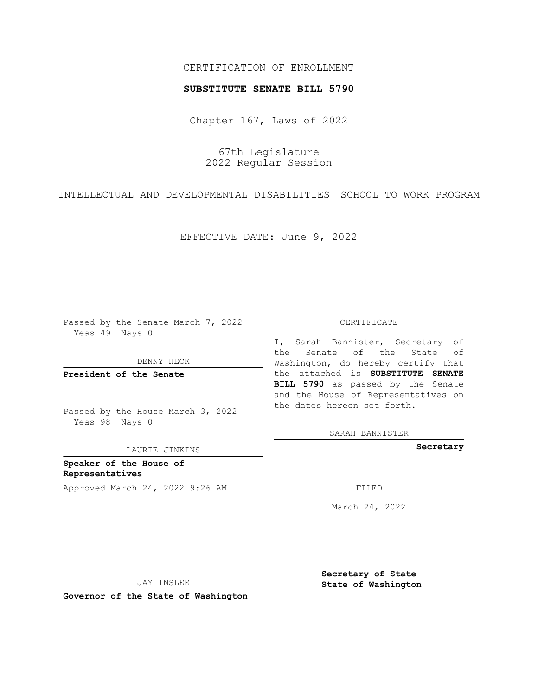## CERTIFICATION OF ENROLLMENT

### **SUBSTITUTE SENATE BILL 5790**

Chapter 167, Laws of 2022

67th Legislature 2022 Regular Session

INTELLECTUAL AND DEVELOPMENTAL DISABILITIES—SCHOOL TO WORK PROGRAM

EFFECTIVE DATE: June 9, 2022

Passed by the Senate March 7, 2022 Yeas 49 Nays 0

DENNY HECK

**President of the Senate**

Passed by the House March 3, 2022 Yeas 98 Nays 0

LAURIE JINKINS

**Speaker of the House of Representatives** Approved March 24, 2022 9:26 AM

#### CERTIFICATE

I, Sarah Bannister, Secretary of the Senate of the State of Washington, do hereby certify that the attached is **SUBSTITUTE SENATE BILL 5790** as passed by the Senate and the House of Representatives on the dates hereon set forth.

SARAH BANNISTER

**Secretary**

March 24, 2022

JAY INSLEE

**Governor of the State of Washington**

**Secretary of State State of Washington**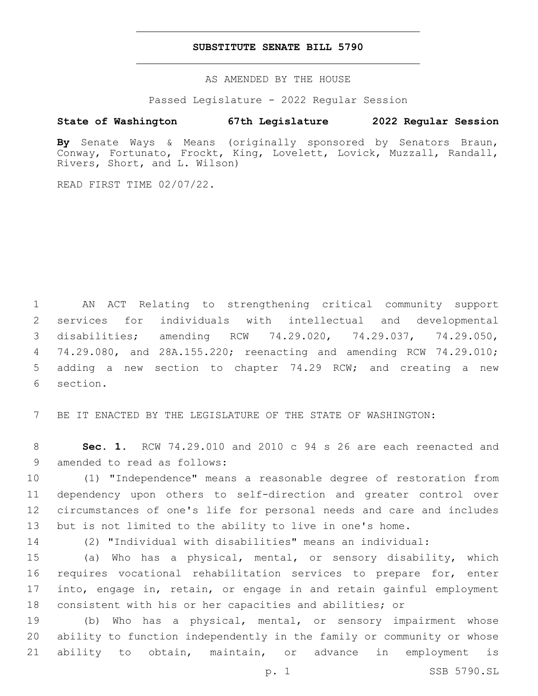## **SUBSTITUTE SENATE BILL 5790**

AS AMENDED BY THE HOUSE

Passed Legislature - 2022 Regular Session

# **State of Washington 67th Legislature 2022 Regular Session**

**By** Senate Ways & Means (originally sponsored by Senators Braun, Conway, Fortunato, Frockt, King, Lovelett, Lovick, Muzzall, Randall, Rivers, Short, and L. Wilson)

READ FIRST TIME 02/07/22.

 AN ACT Relating to strengthening critical community support services for individuals with intellectual and developmental disabilities; amending RCW 74.29.020, 74.29.037, 74.29.050, 74.29.080, and 28A.155.220; reenacting and amending RCW 74.29.010; adding a new section to chapter 74.29 RCW; and creating a new 6 section.

BE IT ENACTED BY THE LEGISLATURE OF THE STATE OF WASHINGTON:

 **Sec. 1.** RCW 74.29.010 and 2010 c 94 s 26 are each reenacted and 9 amended to read as follows:

 (1) "Independence" means a reasonable degree of restoration from dependency upon others to self-direction and greater control over circumstances of one's life for personal needs and care and includes but is not limited to the ability to live in one's home.

(2) "Individual with disabilities" means an individual:

 (a) Who has a physical, mental, or sensory disability, which requires vocational rehabilitation services to prepare for, enter into, engage in, retain, or engage in and retain gainful employment consistent with his or her capacities and abilities; or

 (b) Who has a physical, mental, or sensory impairment whose ability to function independently in the family or community or whose ability to obtain, maintain, or advance in employment is

p. 1 SSB 5790.SL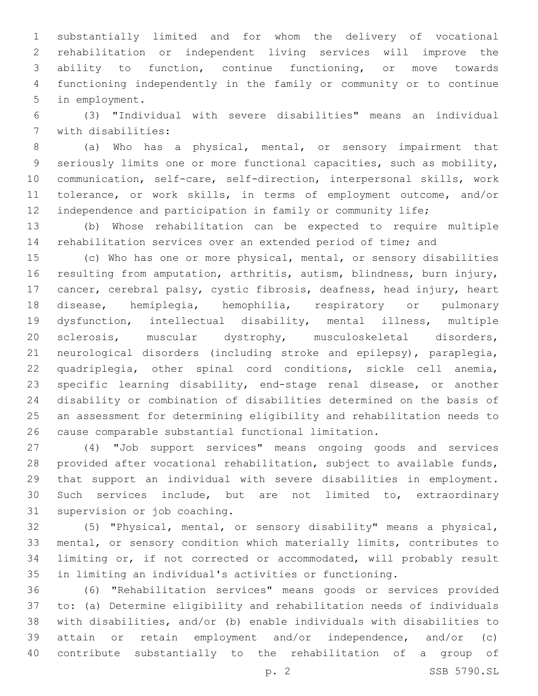substantially limited and for whom the delivery of vocational rehabilitation or independent living services will improve the ability to function, continue functioning, or move towards functioning independently in the family or community or to continue 5 in employment.

 (3) "Individual with severe disabilities" means an individual 7 with disabilities:

 (a) Who has a physical, mental, or sensory impairment that seriously limits one or more functional capacities, such as mobility, communication, self-care, self-direction, interpersonal skills, work tolerance, or work skills, in terms of employment outcome, and/or 12 independence and participation in family or community life;

 (b) Whose rehabilitation can be expected to require multiple rehabilitation services over an extended period of time; and

 (c) Who has one or more physical, mental, or sensory disabilities resulting from amputation, arthritis, autism, blindness, burn injury, cancer, cerebral palsy, cystic fibrosis, deafness, head injury, heart disease, hemiplegia, hemophilia, respiratory or pulmonary dysfunction, intellectual disability, mental illness, multiple sclerosis, muscular dystrophy, musculoskeletal disorders, neurological disorders (including stroke and epilepsy), paraplegia, quadriplegia, other spinal cord conditions, sickle cell anemia, specific learning disability, end-stage renal disease, or another disability or combination of disabilities determined on the basis of an assessment for determining eligibility and rehabilitation needs to cause comparable substantial functional limitation.

 (4) "Job support services" means ongoing goods and services provided after vocational rehabilitation, subject to available funds, that support an individual with severe disabilities in employment. Such services include, but are not limited to, extraordinary 31 supervision or job coaching.

 (5) "Physical, mental, or sensory disability" means a physical, mental, or sensory condition which materially limits, contributes to limiting or, if not corrected or accommodated, will probably result in limiting an individual's activities or functioning.

 (6) "Rehabilitation services" means goods or services provided to: (a) Determine eligibility and rehabilitation needs of individuals with disabilities, and/or (b) enable individuals with disabilities to attain or retain employment and/or independence, and/or (c) contribute substantially to the rehabilitation of a group of

p. 2 SSB 5790.SL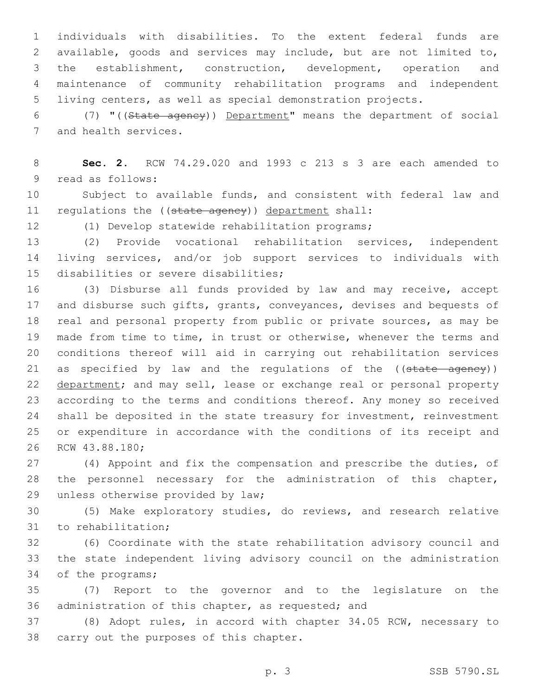individuals with disabilities. To the extent federal funds are available, goods and services may include, but are not limited to, the establishment, construction, development, operation and maintenance of community rehabilitation programs and independent living centers, as well as special demonstration projects.

 (7) "((State agency)) Department" means the department of social 7 and health services.

 **Sec. 2.** RCW 74.29.020 and 1993 c 213 s 3 are each amended to 9 read as follows:

 Subject to available funds, and consistent with federal law and 11 regulations the ((state agency)) department shall:

(1) Develop statewide rehabilitation programs;

 (2) Provide vocational rehabilitation services, independent living services, and/or job support services to individuals with 15 disabilities or severe disabilities;

 (3) Disburse all funds provided by law and may receive, accept and disburse such gifts, grants, conveyances, devises and bequests of real and personal property from public or private sources, as may be made from time to time, in trust or otherwise, whenever the terms and conditions thereof will aid in carrying out rehabilitation services 21 as specified by law and the regulations of the ((state agency)) 22 department; and may sell, lease or exchange real or personal property according to the terms and conditions thereof. Any money so received shall be deposited in the state treasury for investment, reinvestment or expenditure in accordance with the conditions of its receipt and 26 RCW 43.88.180;

 (4) Appoint and fix the compensation and prescribe the duties, of the personnel necessary for the administration of this chapter, 29 unless otherwise provided by law;

 (5) Make exploratory studies, do reviews, and research relative 31 to rehabilitation;

 (6) Coordinate with the state rehabilitation advisory council and the state independent living advisory council on the administration 34 of the programs;

 (7) Report to the governor and to the legislature on the 36 administration of this chapter, as requested; and

 (8) Adopt rules, in accord with chapter 34.05 RCW, necessary to 38 carry out the purposes of this chapter.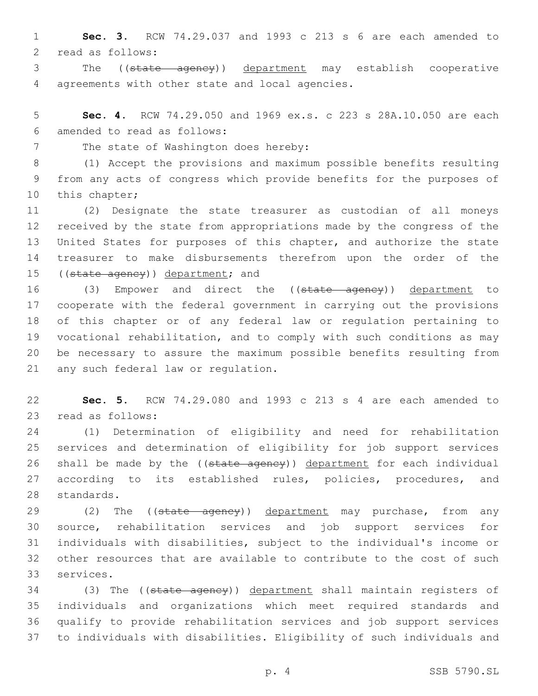**Sec. 3.** RCW 74.29.037 and 1993 c 213 s 6 are each amended to 2 read as follows:

 The ((state agency)) department may establish cooperative 4 agreements with other state and local agencies.

 **Sec. 4.** RCW 74.29.050 and 1969 ex.s. c 223 s 28A.10.050 are each amended to read as follows:6

7 The state of Washington does hereby:

 (1) Accept the provisions and maximum possible benefits resulting from any acts of congress which provide benefits for the purposes of 10 this chapter;

 (2) Designate the state treasurer as custodian of all moneys received by the state from appropriations made by the congress of the United States for purposes of this chapter, and authorize the state treasurer to make disbursements therefrom upon the order of the 15 ((state agency)) department; and

16 (3) Empower and direct the ((state agency)) department to cooperate with the federal government in carrying out the provisions of this chapter or of any federal law or regulation pertaining to vocational rehabilitation, and to comply with such conditions as may be necessary to assure the maximum possible benefits resulting from 21 any such federal law or regulation.

 **Sec. 5.** RCW 74.29.080 and 1993 c 213 s 4 are each amended to 23 read as follows:

 (1) Determination of eligibility and need for rehabilitation services and determination of eligibility for job support services 26 shall be made by the ((state ageney)) department for each individual according to its established rules, policies, procedures, and 28 standards.

29 (2) The ((state ageney)) department may purchase, from any source, rehabilitation services and job support services for individuals with disabilities, subject to the individual's income or other resources that are available to contribute to the cost of such 33 services.

34 (3) The ((state agency)) department shall maintain registers of individuals and organizations which meet required standards and qualify to provide rehabilitation services and job support services to individuals with disabilities. Eligibility of such individuals and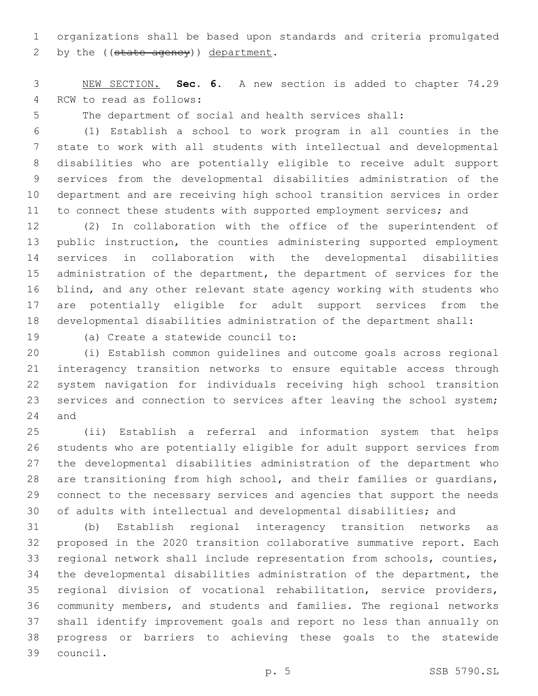organizations shall be based upon standards and criteria promulgated 2 by the  $((state\text{ agency}))\text{ department.}$ 

 NEW SECTION. **Sec. 6.** A new section is added to chapter 74.29 4 RCW to read as follows:

The department of social and health services shall:

 (1) Establish a school to work program in all counties in the state to work with all students with intellectual and developmental disabilities who are potentially eligible to receive adult support services from the developmental disabilities administration of the department and are receiving high school transition services in order 11 to connect these students with supported employment services; and

 (2) In collaboration with the office of the superintendent of public instruction, the counties administering supported employment services in collaboration with the developmental disabilities 15 administration of the department, the department of services for the blind, and any other relevant state agency working with students who are potentially eligible for adult support services from the developmental disabilities administration of the department shall:

19 (a) Create a statewide council to:

 (i) Establish common guidelines and outcome goals across regional interagency transition networks to ensure equitable access through system navigation for individuals receiving high school transition services and connection to services after leaving the school system; 24 and

 (ii) Establish a referral and information system that helps students who are potentially eligible for adult support services from the developmental disabilities administration of the department who are transitioning from high school, and their families or guardians, connect to the necessary services and agencies that support the needs of adults with intellectual and developmental disabilities; and

 (b) Establish regional interagency transition networks as proposed in the 2020 transition collaborative summative report. Each regional network shall include representation from schools, counties, the developmental disabilities administration of the department, the regional division of vocational rehabilitation, service providers, community members, and students and families. The regional networks shall identify improvement goals and report no less than annually on progress or barriers to achieving these goals to the statewide council.39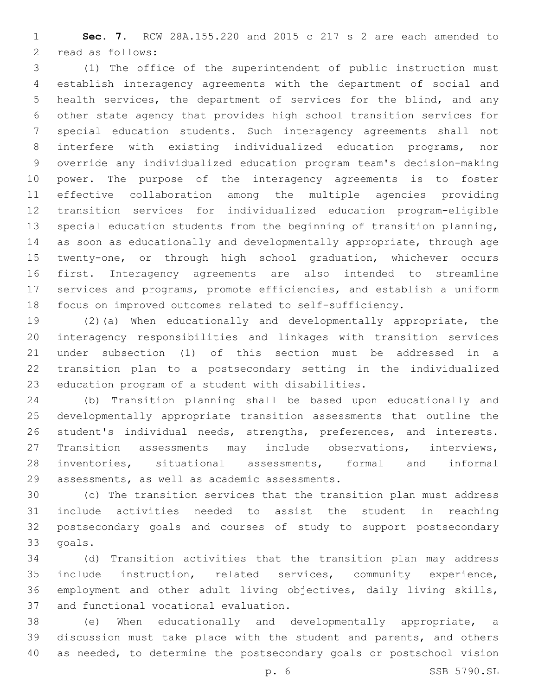**Sec. 7.** RCW 28A.155.220 and 2015 c 217 s 2 are each amended to 2 read as follows:

 (1) The office of the superintendent of public instruction must establish interagency agreements with the department of social and health services, the department of services for the blind, and any other state agency that provides high school transition services for special education students. Such interagency agreements shall not interfere with existing individualized education programs, nor override any individualized education program team's decision-making power. The purpose of the interagency agreements is to foster effective collaboration among the multiple agencies providing transition services for individualized education program-eligible special education students from the beginning of transition planning, as soon as educationally and developmentally appropriate, through age twenty-one, or through high school graduation, whichever occurs first. Interagency agreements are also intended to streamline services and programs, promote efficiencies, and establish a uniform focus on improved outcomes related to self-sufficiency.

 (2)(a) When educationally and developmentally appropriate, the interagency responsibilities and linkages with transition services under subsection (1) of this section must be addressed in a transition plan to a postsecondary setting in the individualized 23 education program of a student with disabilities.

 (b) Transition planning shall be based upon educationally and developmentally appropriate transition assessments that outline the student's individual needs, strengths, preferences, and interests. Transition assessments may include observations, interviews, inventories, situational assessments, formal and informal assessments, as well as academic assessments.29

 (c) The transition services that the transition plan must address include activities needed to assist the student in reaching postsecondary goals and courses of study to support postsecondary 33 goals.

 (d) Transition activities that the transition plan may address include instruction, related services, community experience, employment and other adult living objectives, daily living skills, 37 and functional vocational evaluation.

 (e) When educationally and developmentally appropriate, a discussion must take place with the student and parents, and others as needed, to determine the postsecondary goals or postschool vision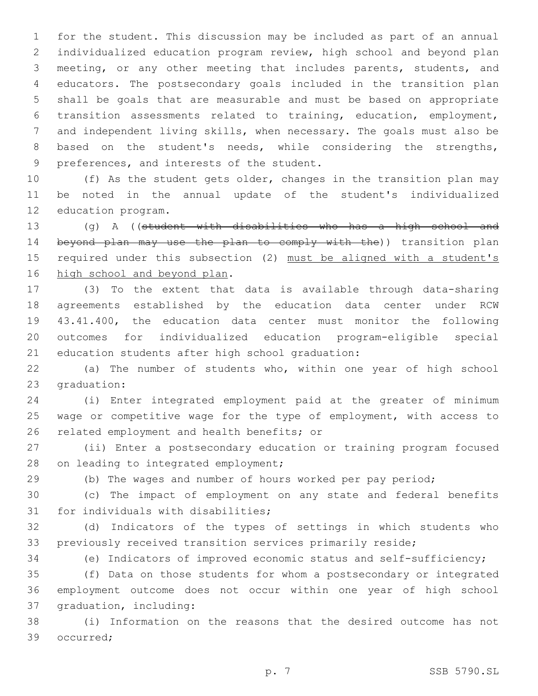for the student. This discussion may be included as part of an annual individualized education program review, high school and beyond plan meeting, or any other meeting that includes parents, students, and educators. The postsecondary goals included in the transition plan shall be goals that are measurable and must be based on appropriate transition assessments related to training, education, employment, and independent living skills, when necessary. The goals must also be based on the student's needs, while considering the strengths, 9 preferences, and interests of the student.

 (f) As the student gets older, changes in the transition plan may be noted in the annual update of the student's individualized 12 education program.

 (g) A ((student with disabilities who has a high school and 14 beyond plan may use the plan to comply with the)) transition plan 15 required under this subsection (2) must be aligned with a student's 16 high school and beyond plan.

 (3) To the extent that data is available through data-sharing agreements established by the education data center under RCW 43.41.400, the education data center must monitor the following outcomes for individualized education program-eligible special 21 education students after high school graduation:

 (a) The number of students who, within one year of high school 23 graduation:

 (i) Enter integrated employment paid at the greater of minimum wage or competitive wage for the type of employment, with access to 26 related employment and health benefits; or

 (ii) Enter a postsecondary education or training program focused 28 on leading to integrated employment;

(b) The wages and number of hours worked per pay period;

 (c) The impact of employment on any state and federal benefits 31 for individuals with disabilities;

 (d) Indicators of the types of settings in which students who previously received transition services primarily reside;

(e) Indicators of improved economic status and self-sufficiency;

 (f) Data on those students for whom a postsecondary or integrated employment outcome does not occur within one year of high school 37 graduation, including:

 (i) Information on the reasons that the desired outcome has not 39 occurred;